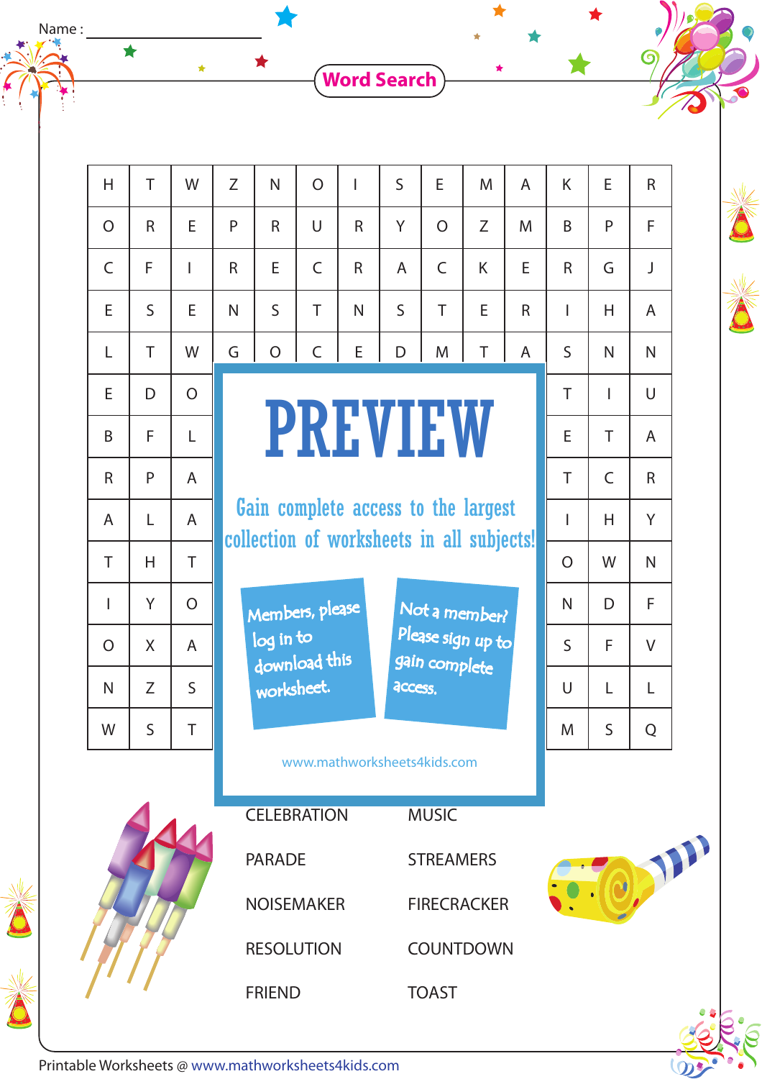**Word Search**

 $\blacktriangle$ 

 $\bigstar$ 

 $\bullet$ 

 $\omega$ 

| H                                  | T            | W              | Z              | N                                                                                         | $\overline{O}$ | I            | $\mathsf{S}$                | E              | M | $\overline{A}$ | K            | E            | $\mathsf{R}$   |  |
|------------------------------------|--------------|----------------|----------------|-------------------------------------------------------------------------------------------|----------------|--------------|-----------------------------|----------------|---|----------------|--------------|--------------|----------------|--|
| $\overline{O}$                     | $\mathsf{R}$ | E              | P              | $\mathsf{R}$                                                                              | U              | R            | Y                           | $\overline{O}$ | Z | M              | B            | P            | F              |  |
| $\mathsf{C}$                       | F            | I              | R              | E                                                                                         | $\overline{C}$ | $\mathsf{R}$ | A                           | $\mathsf{C}$   | K | E              | $\mathsf{R}$ | G            | J              |  |
| E                                  | $\mathsf{S}$ | E              | N              | $\mathsf{S}$                                                                              | T              | N            | $\mathsf{S}$                | T              | E | $\mathsf{R}$   | T            | H.           | $\mathsf{A}$   |  |
| L                                  | T            | W              | G              | $\overline{O}$                                                                            | $\mathsf C$    | E            | D                           | M              | T | A              | $\mathsf{S}$ | N.           | N.             |  |
| E                                  | D            | $\overline{O}$ | <b>PREVIEW</b> |                                                                                           |                |              |                             |                |   |                |              | $\mathbf{I}$ | $\cup$         |  |
| B                                  | F            | L              |                |                                                                                           |                | E            | T.                          | $\overline{A}$ |   |                |              |              |                |  |
| $\mathsf{R}$                       | P            | $\overline{A}$ |                |                                                                                           |                | T            | $\mathsf{C}$                | $\mathsf{R}$   |   |                |              |              |                |  |
| $\mathsf{A}$                       | L            | $\overline{A}$ |                | Gain complete access to the largest                                                       |                | T            | H.                          | Y              |   |                |              |              |                |  |
| T                                  | H            | T              |                | collection of worksheets in all subjects!                                                 |                |              |                             |                |   |                |              |              | $\mathsf{N}$   |  |
| I                                  | Y            | $\overline{O}$ |                | Members, please<br>Not a member?                                                          |                |              |                             |                |   |                |              | D            | F              |  |
| $\overline{O}$                     | X            | $\overline{A}$ |                | Please sign up to<br>log in to<br>download this<br>gain complete<br>worksheet.<br>access. |                |              |                             |                |   |                | $\mathsf{S}$ | F            | V              |  |
| N                                  | Z            | S              |                |                                                                                           |                |              |                             |                |   |                | U            | L            | L              |  |
| W                                  | $\mathsf S$  | T              |                |                                                                                           |                |              |                             |                |   |                | M            | $\sf S$      | $\overline{Q}$ |  |
|                                    |              |                |                |                                                                                           |                |              | www.mathworksheets4kids.com |                |   |                |              |              |                |  |
| <b>CELEBRATION</b><br><b>MUSIC</b> |              |                |                |                                                                                           |                |              |                             |                |   |                |              |              |                |  |
|                                    |              |                | <b>PARADE</b>  |                                                                                           |                |              | <b>STREAMERS</b>            |                |   |                |              |              |                |  |
|                                    |              |                |                | <b>NOISEMAKER</b>                                                                         |                |              | <b>FIRECRACKER</b>          |                |   |                |              |              |                |  |
|                                    |              |                |                | <b>RESOLUTION</b>                                                                         |                |              | COUNTDOWN                   |                |   |                |              |              |                |  |
|                                    |              |                |                | <b>FRIEND</b>                                                                             |                |              |                             | <b>TOAST</b>   |   |                |              |              |                |  |



Name :  $\frac{1}{2}$ 

 $\frac{1}{2}$ 

 $\bigstar$ 

Printable Worksheets @ www.mathworksheets4kids.com